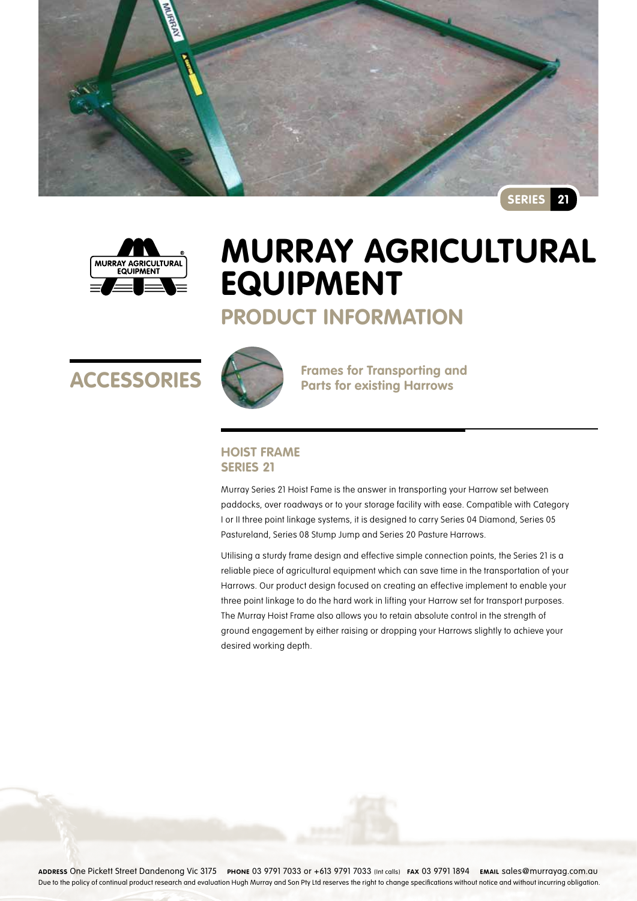



# **Murray Agricultural Equipment**

# **Product Information**





**ACCESSORIES** Frames for Transporting and

### **Hoist Frame Series 21**

Murray Series 21 Hoist Fame is the answer in transporting your Harrow set between paddocks, over roadways or to your storage facility with ease. Compatible with Category I or II three point linkage systems, it is designed to carry Series 04 Diamond, Series 05 Pastureland, Series 08 Stump Jump and Series 20 Pasture Harrows.

Utilising a sturdy frame design and effective simple connection points, the Series 21 is a reliable piece of agricultural equipment which can save time in the transportation of your Harrows. Our product design focused on creating an effective implement to enable your three point linkage to do the hard work in lifting your Harrow set for transport purposes. The Murray Hoist Frame also allows you to retain absolute control in the strength of ground engagement by either raising or dropping your Harrows slightly to achieve your desired working depth.

**Address** One Pickett Street Dandenong Vic 3175 **Phone** 03 9791 7033 or +613 9791 7033 (Int calls) **Fax** 03 9791 1894 **Email** sales@murrayag.com.au Due to the policy of continual product research and evaluation Hugh Murray and Son Pty Ltd reserves the right to change specifications without notice and without incurring obligation.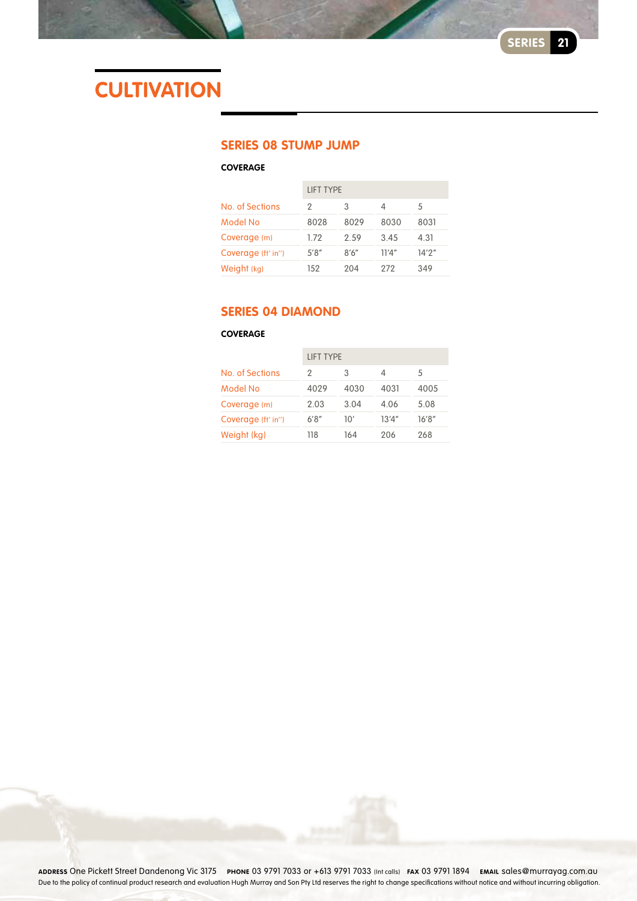# **CULTIVATION**

### **Series 08 Stump Jump**

### **Coverage**

|                    | <b>LIFT TYPE</b> |       |       |        |
|--------------------|------------------|-------|-------|--------|
| No. of Sections    | 2                | 3     | Δ     | 5      |
| Model No           | 8028             | 8029  | 8030  | 8031   |
| Coverage (m)       | 1.72             | 2.59  | 3.45  | 4.31   |
| Coverage (ft' in") | 5'8''            | 8'6'' | 11'4" | 14'2'' |
| Weight (kg)        | 152              | 204   | 272   | 349    |

## **Series 04 Diamond**

### **Coverage**

|                    | <b>LIFT TYPE</b> |      |        |        |  |
|--------------------|------------------|------|--------|--------|--|
| No. of Sections    | 2                | 3    | 4      | 5      |  |
| Model No           | 4029             | 4030 | 4031   | 4005   |  |
| Coverage (m)       | 2.03             | 3.04 | 4.06   | 5.08   |  |
| Coverage (ft' in") | 6'8''            | 10'  | 13'4'' | 16'8'' |  |
| Weight (kg)        | 118              | 164  | 206    | 268    |  |

**Address** One Pickett Street Dandenong Vic 3175 **Phone** 03 9791 7033 or +613 9791 7033 (Int calls) **Fax** 03 9791 1894 **Email** sales@murrayag.com.au Due to the policy of continual product research and evaluation Hugh Murray and Son Pty Ltd reserves the right to change specifications without notice and without incurring obligation.